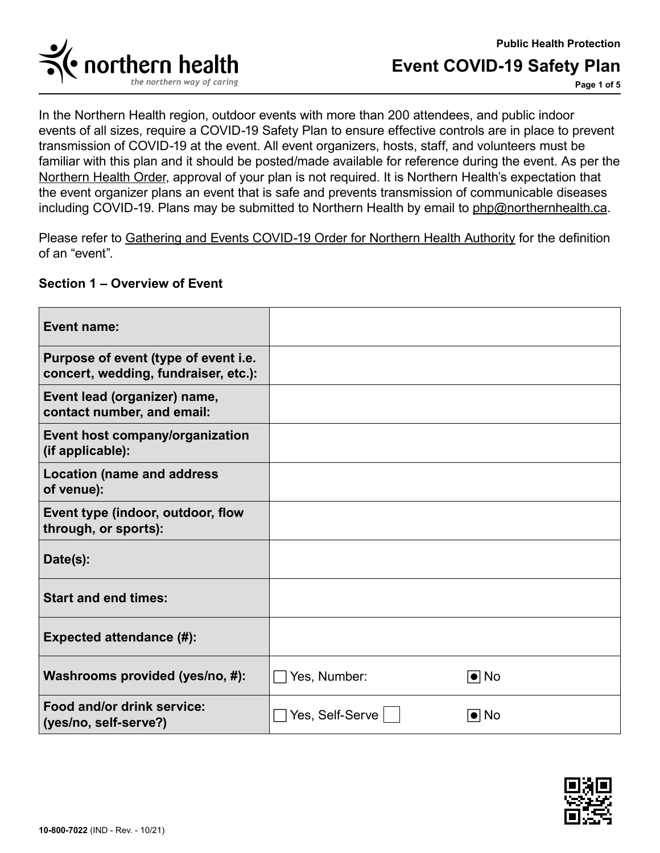



**Page 1 of 5**

In the Northern Health region, outdoor events with more than 200 attendees, and public indoor events of all sizes, require a COVID-19 Safety Plan to ensure effective controls are in place to prevent transmission of COVID-19 at the event. All event organizers, hosts, staff, and volunteers must be familiar with this plan and it should be posted/made available for reference during the event. As per the [Northern Health Order,](https://www2.gov.bc.ca/assets/gov/health/about-bc-s-health-care-system/office-of-the-provincial-health-officer/covid-19/covid-19-mho-nh-gatherings-events.pdf) approval of your plan is not required. It is Northern Health's expectation that the event organizer plans an event that is safe and prevents transmission of communicable diseases including COVID-19. Plans may be submitted to Northern Health by email to [php@northernhealth.ca.](mailto:php%40northernhealth.ca?subject=)

Please refer to [Gathering and Events COVID-19 Order for Northern Health Authority](https://www2.gov.bc.ca/assets/gov/health/about-bc-s-health-care-system/office-of-the-provincial-health-officer/covid-19/covid-19-mho-nh-gatherings-events.pdf) for the definition of an "event".

### **Section 1 – Overview of Event**

| <b>Event name:</b>                                                           |                 |                   |
|------------------------------------------------------------------------------|-----------------|-------------------|
| Purpose of event (type of event i.e.<br>concert, wedding, fundraiser, etc.): |                 |                   |
| Event lead (organizer) name,<br>contact number, and email:                   |                 |                   |
| Event host company/organization<br>(if applicable):                          |                 |                   |
| <b>Location (name and address</b><br>of venue):                              |                 |                   |
| Event type (indoor, outdoor, flow<br>through, or sports):                    |                 |                   |
| Date(s):                                                                     |                 |                   |
| <b>Start and end times:</b>                                                  |                 |                   |
| <b>Expected attendance (#):</b>                                              |                 |                   |
| Washrooms provided (yes/no, #):                                              | Yes, Number:    | $\blacksquare$ No |
| Food and/or drink service:<br>(yes/no, self-serve?)                          | Yes, Self-Serve | $\bullet$ No      |

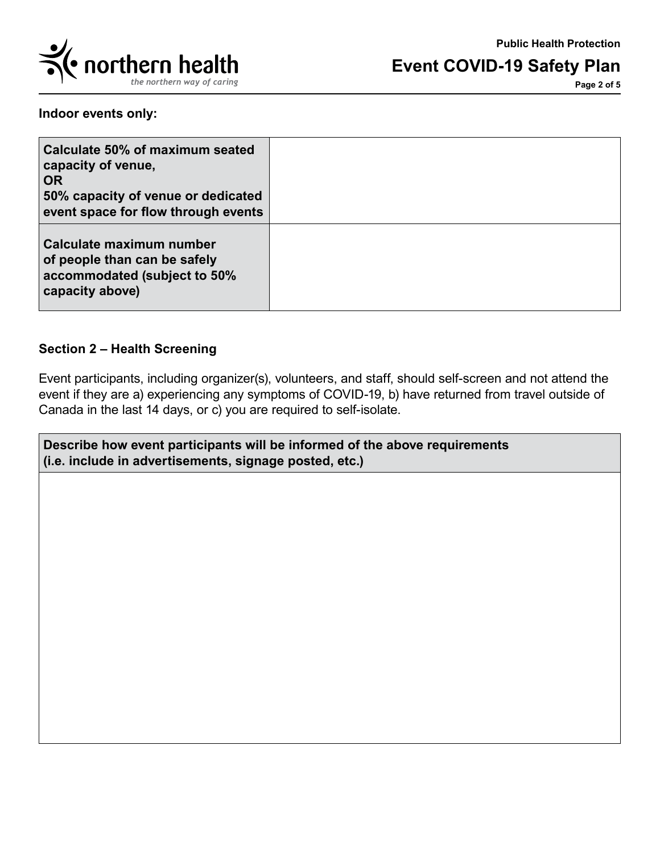

**Page 2 of 5**

**Indoor events only:**

| Calculate 50% of maximum seated<br>capacity of venue,<br><b>OR</b><br>50% capacity of venue or dedicated<br>event space for flow through events |  |
|-------------------------------------------------------------------------------------------------------------------------------------------------|--|
| Calculate maximum number<br>of people than can be safely<br>accommodated (subject to 50%<br>capacity above)                                     |  |

## **Section 2 – Health Screening**

Event participants, including organizer(s), volunteers, and staff, should self-screen and not attend the event if they are a) experiencing any symptoms of COVID-19, b) have returned from travel outside of Canada in the last 14 days, or c) you are required to self-isolate.

**Describe how event participants will be informed of the above requirements (i.e. include in advertisements, signage posted, etc.)**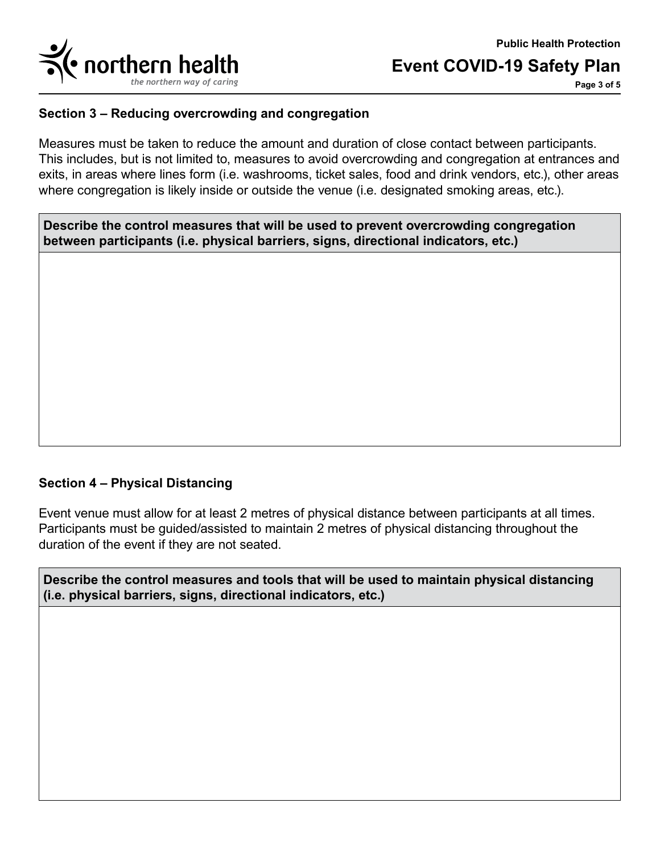

**Page 3 of 5**

### **Section 3 – Reducing overcrowding and congregation**

Measures must be taken to reduce the amount and duration of close contact between participants. This includes, but is not limited to, measures to avoid overcrowding and congregation at entrances and exits, in areas where lines form (i.e. washrooms, ticket sales, food and drink vendors, etc.), other areas where congregation is likely inside or outside the venue (i.e. designated smoking areas, etc.).

**Describe the control measures that will be used to prevent overcrowding congregation between participants (i.e. physical barriers, signs, directional indicators, etc.)**

### **Section 4 – Physical Distancing**

Event venue must allow for at least 2 metres of physical distance between participants at all times. Participants must be guided/assisted to maintain 2 metres of physical distancing throughout the duration of the event if they are not seated.

**Describe the control measures and tools that will be used to maintain physical distancing (i.e. physical barriers, signs, directional indicators, etc.)**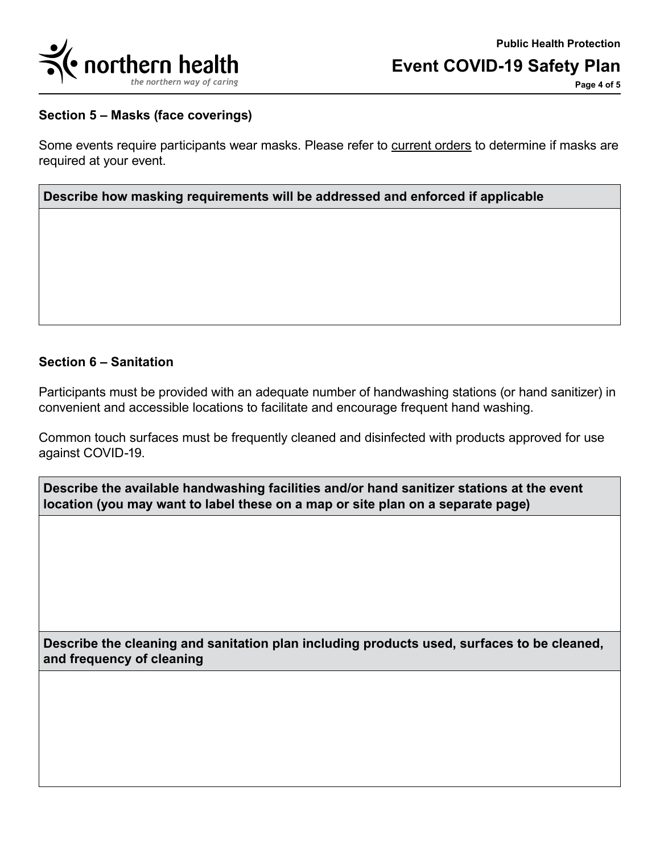

**Page 4 of 5**

#### **Section 5 – Masks (face coverings)**

Some events require participants wear masks. Please refer to [current orders t](mailto:https://www2.gov.bc.ca/gov/content/covid-19/info/restrictions?subject=)o determine if masks are required at your event.

### **Describe how masking requirements will be addressed and enforced if applicable**

### **Section 6 – Sanitation**

Participants must be provided with an adequate number of handwashing stations (or hand sanitizer) in convenient and accessible locations to facilitate and encourage frequent hand washing.

Common touch surfaces must be frequently cleaned and disinfected with products approved for use against COVID-19.

| Describe the available handwashing facilities and/or hand sanitizer stations at the event |
|-------------------------------------------------------------------------------------------|
| location (you may want to label these on a map or site plan on a separate page)           |

**Describe the cleaning and sanitation plan including products used, surfaces to be cleaned, and frequency of cleaning**